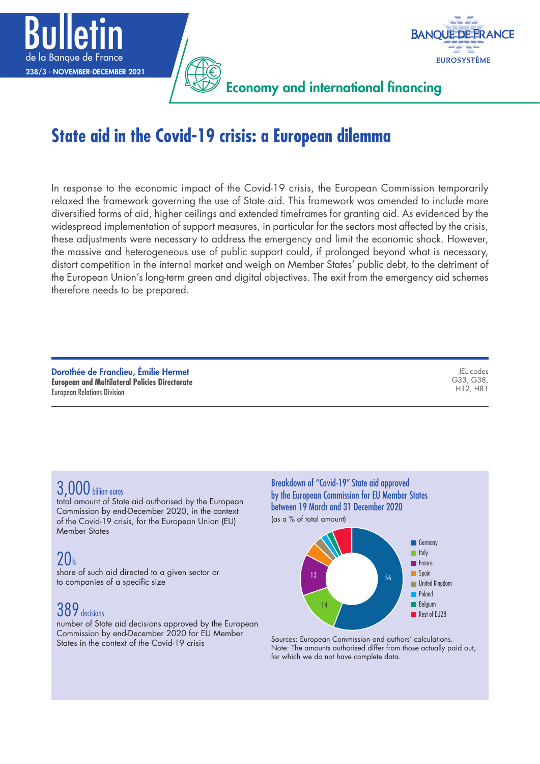



Economy and international financing

## **State aid in the Covid-19 crisis: a European dilemma**

In response to the economic impact of the Covid-19 crisis, the European Commission temporarily relaxed the framework governing the use of State aid. This framework was amended to include more diversified forms of aid, higher ceilings and extended timeframes for granting aid. As evidenced by the widespread implementation of support measures, in particular for the sectors most affected by the crisis, these adjustments were necessary to address the emergency and limit the economic shock. However, the massive and heterogeneous use of public support could, if prolonged beyond what is necessary, distort competition in the internal market and weigh on Member States' public debt, to the detriment of the European Union's long-term green and digital objectives. The exit from the emergency aid schemes therefore needs to be prepared.

| Dorothée de Franclieu, Émilie Hermet                  | JEL codes                          |
|-------------------------------------------------------|------------------------------------|
| <b>European and Multilateral Policies Directorate</b> | G33, G38,                          |
| <b>European Relations Division</b>                    | H <sub>12</sub> . H <sub>8</sub> 1 |
|                                                       |                                    |

### 3,000 billion euros

total amount of State aid authorised by the European Commission by end-December 2020, in the context of the Covid-19 crisis, for the European Union (EU) Member States

### 20%

share of such aid directed to a given sector or to companies of a specific size

### 389 decisions

number of State aid decisions approved by the European Commission by end-December 2020 for EU Member States in the context of the Covid-19 crisis

Breakdown of "Covid‑19" State aid approved by the European Commission for EU Member States between 19 March and 31 December 2020 (as a % of total amount)



Sources: European Commission and authors' calculations. Note: The amounts authorised differ from those actually paid out, for which we do not have complete data.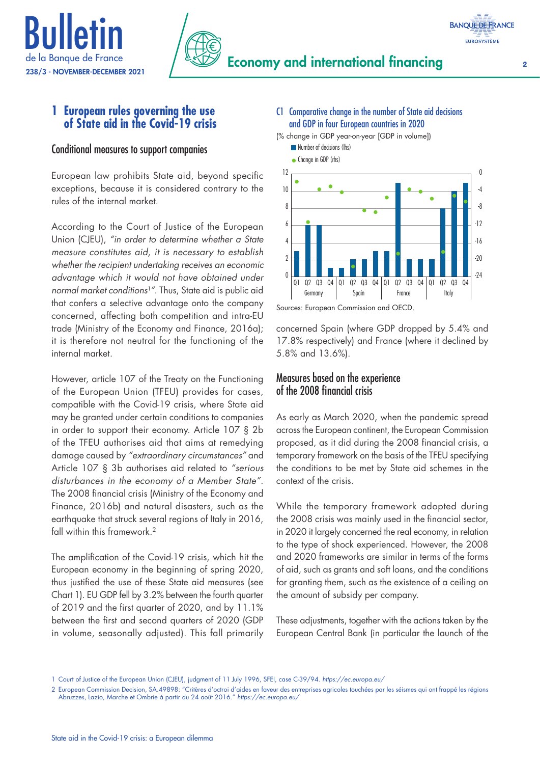



### **1 European rules governing the use of State aid in the Covid-19 crisis**

### Conditional measures to support companies

European law prohibits State aid, beyond specific exceptions, because it is considered contrary to the rules of the internal market.

According to the Court of Justice of the European Union (CJEU), *"in order to determine whether a State measure constitutes aid, it is necessary to establish whether the recipient undertaking receives an economic advantage which it would not have obtained under normal market conditions<sup>1</sup>"*. Thus, State aid is public aid that confers a selective advantage onto the company concerned, affecting both competition and intra-EU trade (Ministry of the Economy and Finance, 2016a); it is therefore not neutral for the functioning of the internal market.

However, article 107 of the Treaty on the Functioning of the European Union (TFEU) provides for cases, compatible with the Covid-19 crisis, where State aid may be granted under certain conditions to companies in order to support their economy. Article 107 § 2b of the TFEU authorises aid that aims at remedying damage caused by *"extraordinary circumstances"* and Article 107 § 3b authorises aid related to *"serious disturbances in the economy of a Member State"*. The 2008 financial crisis (Ministry of the Economy and Finance, 2016b) and natural disasters, such as the earthquake that struck several regions of Italy in 2016, fall within this framework.<sup>2</sup>

The amplification of the Covid-19 crisis, which hit the European economy in the beginning of spring 2020, thus justified the use of these State aid measures (see Chart 1). EU GDP fell by 3.2% between the fourth quarter of 2019 and the first quarter of 2020, and by 11.1% between the first and second quarters of 2020 (GDP in volume, seasonally adjusted). This fall primarily



(% change in GDP year-on-year [GDP in volume]) **Number of decisions (lhs)** 



Sources: European Commission and OECD.

concerned Spain (where GDP dropped by 5.4% and 17.8% respectively) and France (where it declined by 5.8% and 13.6%).

### Measures based on the experience of the 2008 financial crisis

As early as March 2020, when the pandemic spread across the European continent, the European Commission proposed, as it did during the 2008 financial crisis, a temporary framework on the basis of the TFEU specifying the conditions to be met by State aid schemes in the context of the crisis.

While the temporary framework adopted during the 2008 crisis was mainly used in the financial sector, in 2020 it largely concerned the real economy, in relation to the type of shock experienced. However, the 2008 and 2020 frameworks are similar in terms of the forms of aid, such as grants and soft loans, and the conditions for granting them, such as the existence of a ceiling on the amount of subsidy per company.

These adjustments, together with the actions taken by the European Central Bank (in particular the launch of the

<sup>1</sup> Court of Justice of the European Union (CJEU), judgment of 11 July 1996, SFEI, case C-39/94. *[https://ec.europa.eu/](https://eur-lex.europa.eu/legal-content/EN/TXT/?uri=CELEX%3A61994CJ0039)*

<sup>2</sup> European Commission Decision, SA.49898: "Critères d'octroi d'aides en faveur des entreprises agricoles touchées par les séismes qui ont frappé les régions Abruzzes, Lazio, Marche et Ombrie à partir du 24 août 2016." *[https://ec.europa.eu/](https://ec.europa.eu/competition/elojade/isef/case_details.cfm?proc_code=3_SA_49898)*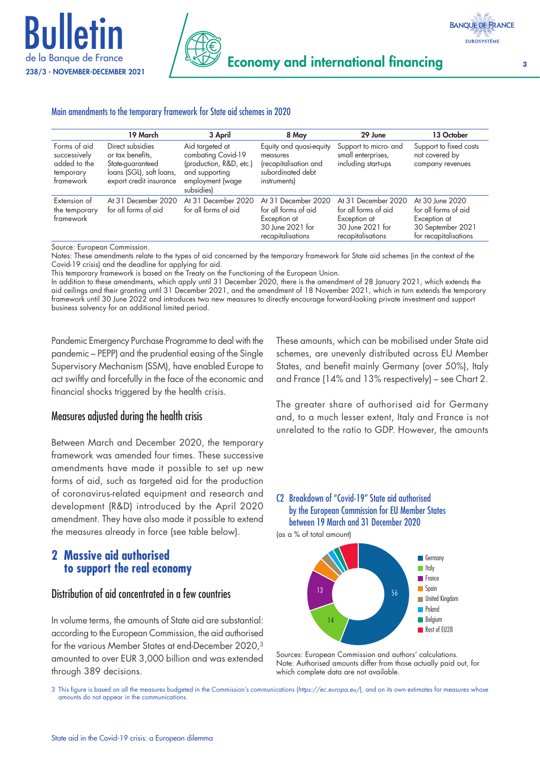



#### Main amendments to the temporary framework for State aid schemes in 2020

|                                                                        | 19 March                                                                                                        | 3 April                                                                                                             | 8 May                                                                                                | 29 June                                                                                              | 13 October                                                                                            |
|------------------------------------------------------------------------|-----------------------------------------------------------------------------------------------------------------|---------------------------------------------------------------------------------------------------------------------|------------------------------------------------------------------------------------------------------|------------------------------------------------------------------------------------------------------|-------------------------------------------------------------------------------------------------------|
| Forms of aid<br>successively<br>added to the<br>temporary<br>framework | Direct subsidies<br>or tax benefits,<br>State-guaranteed<br>loans (SGL), soft loans,<br>export credit insurance | Aid targeted at<br>combating Covid-19<br>(production, R&D, etc.)<br>and supporting<br>employment (wage<br>subsidies | Equity and quasi-equity<br>measures<br>(recapitalisation and<br>subordinated debt<br>instruments)    | Support to micro- and<br>small enterprises,<br>including start-ups                                   | Support to fixed costs<br>not covered by<br>company revenues                                          |
| Extension of<br>the temporary<br>framework                             | At 31 December 2020<br>for all forms of aid                                                                     | At 31 December 2020<br>for all forms of aid                                                                         | At 31 December 2020<br>for all forms of aid<br>Exception at<br>30 June 2021 for<br>recapitalisations | At 31 December 2020<br>for all forms of aid<br>Exception at<br>30 June 2021 for<br>recapitalisations | At 30 June 2020<br>for all forms of aid<br>Exception at<br>30 September 2021<br>for recapitalisations |

Source: European Commission.

Notes: These amendments relate to the types of aid concerned by the temporary framework for State aid schemes (in the context of the Covid-19 crisis) and the deadline for applying for aid.

This temporary framework is based on the Treaty on the Functioning of the European Union.

In addition to these amendments, which apply until 31 December 2020, there is the amendment of 28 January 2021, which extends the aid ceilings and their granting until 31 December 2021, and the amendment of 18 November 2021, which in turn extends the temporary framework until 30 June 2022 and introduces two new measures to directly encourage forward-looking private investment and support business solvency for an additional limited period.

Pandemic Emergency Purchase Programme to deal with the pandemic – PEPP) and the prudential easing of the Single Supervisory Mechanism (SSM), have enabled Europe to act swiftly and forcefully in the face of the economic and financial shocks triggered by the health crisis.

### Measures adjusted during the health crisis

Between March and December 2020, the temporary framework was amended four times. These successive amendments have made it possible to set up new forms of aid, such as targeted aid for the production of coronavirus-related equipment and research and development (R&D) introduced by the April 2020 amendment. They have also made it possible to extend the measures already in force (see table below).

### **2 Massive aid authorised to support the real economy**

### Distribution of aid concentrated in a few countries

In volume terms, the amounts of State aid are substantial: according to the European Commission, the aid authorised for the various Member States at end-December 2020,3 amounted to over EUR 3,000 billion and was extended through 389 decisions.

These amounts, which can be mobilised under State aid schemes, are unevenly distributed across EU Member States, and benefit mainly Germany (over 50%), Italy and France (14% and 13% respectively) – see Chart 2.

The greater share of authorised aid for Germany and, to a much lesser extent, Italy and France is not unrelated to the ratio to GDP. However, the amounts

### C2 Breakdown of "Covid‑19" State aid authorised by the European Commission for EU Member States between 19 March and 31 December 2020

(as a % of total amount)





3 This figure is based on all the measures budgeted in the Commission's communications (*[https://ec.europa.eu/](https://ec.europa.eu/competition-policy/state-aid/latest-news_en)*), and on its own estimates for measures whose amounts do not appear in the communications.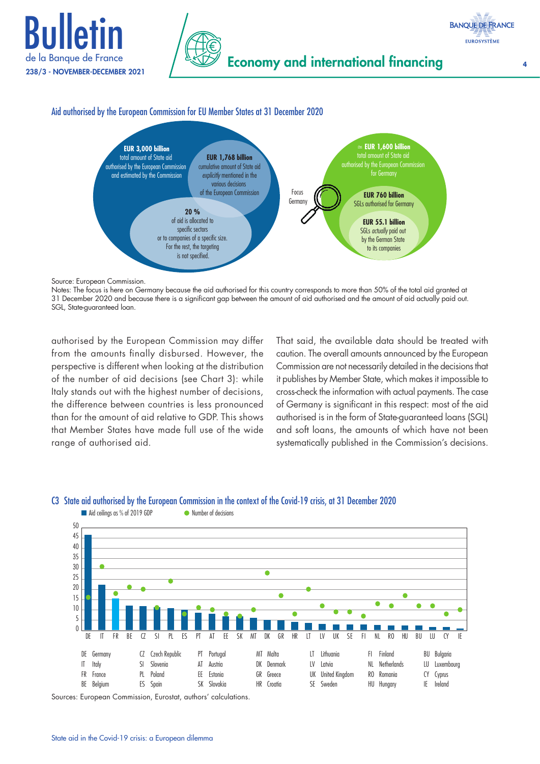



### Aid authorised by the European Commission for EU Member States at 31 December 2020



Source: European Commission.

Notes: The focus is here on Germany because the aid authorised for this country corresponds to more than 50% of the total aid granted at 31 December 2020 and because there is a significant gap between the amount of aid authorised and the amount of aid actually paid out. SGL, State-guaranteed loan.

authorised by the European Commission may differ from the amounts finally disbursed. However, the perspective is different when looking at the distribution of the number of aid decisions (see Chart 3): while Italy stands out with the highest number of decisions, the difference between countries is less pronounced than for the amount of aid relative to GDP. This shows that Member States have made full use of the wide range of authorised aid.

That said, the available data should be treated with caution. The overall amounts announced by the European Commission are not necessarily detailed in the decisions that it publishes by Member State, which makes it impossible to cross-check the information with actual payments. The case of Germany is significant in this respect: most of the aid authorised is in the form of State-guaranteed loans (SGL) and soft loans, the amounts of which have not been systematically published in the Commission's decisions.



### C3 State aid authorised by the European Commission in the context of the Covid‑19 crisis, at 31 December 2020

Sources: European Commission, Eurostat, authors' calculations.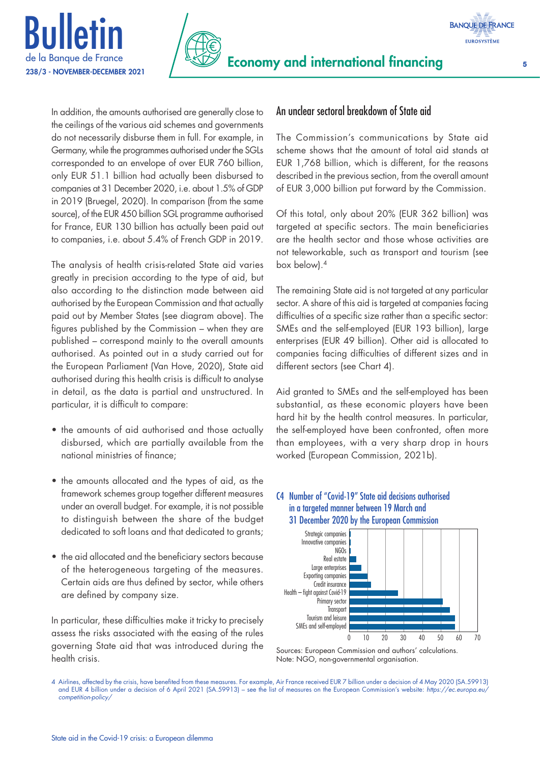



In addition, the amounts authorised are generally close to the ceilings of the various aid schemes and governments do not necessarily disburse them in full. For example, in Germany, while the programmes authorised under the SGLs corresponded to an envelope of over EUR 760 billion, only EUR 51.1 billion had actually been disbursed to companies at 31 December 2020, i.e. about 1.5% of GDP in 2019 (Bruegel, 2020). In comparison (from the same source), of the EUR 450 billion SGL programme authorised for France, EUR 130 billion has actually been paid out to companies, i.e. about 5.4% of French GDP in 2019.

The analysis of health crisis-related State aid varies greatly in precision according to the type of aid, but also according to the distinction made between aid authorised by the European Commission and that actually paid out by Member States (see diagram above). The figures published by the Commission – when they are published – correspond mainly to the overall amounts authorised. As pointed out in a study carried out for the European Parliament (Van Hove, 2020), State aid authorised during this health crisis is difficult to analyse in detail, as the data is partial and unstructured. In particular, it is difficult to compare:

- the amounts of aid authorised and those actually disbursed, which are partially available from the national ministries of finance;
- the amounts allocated and the types of aid, as the framework schemes group together different measures under an overall budget. For example, it is not possible to distinguish between the share of the budget dedicated to soft loans and that dedicated to grants;
- the aid allocated and the beneficiary sectors because of the heterogeneous targeting of the measures. Certain aids are thus defined by sector, while others are defined by company size.

In particular, these difficulties make it tricky to precisely assess the risks associated with the easing of the rules governing State aid that was introduced during the health crisis.

### An unclear sectoral breakdown of State aid

The Commission's communications by State aid scheme shows that the amount of total aid stands at EUR 1,768 billion, which is different, for the reasons described in the previous section, from the overall amount of EUR 3,000 billion put forward by the Commission.

Of this total, only about 20% (EUR 362 billion) was targeted at specific sectors. The main beneficiaries are the health sector and those whose activities are not teleworkable, such as transport and tourism (see box below).4

The remaining State aid is not targeted at any particular sector. A share of this aid is targeted at companies facing difficulties of a specific size rather than a specific sector: SMEs and the self-employed (EUR 193 billion), large enterprises (EUR 49 billion). Other aid is allocated to companies facing difficulties of different sizes and in different sectors (see Chart 4).

Aid granted to SMEs and the self-employed has been substantial, as these economic players have been hard hit by the health control measures. In particular, the self-employed have been confronted, often more than employees, with a very sharp drop in hours worked (European Commission, 2021b).

### C4 Number of "Covid‑19" State aid decisions authorised in a targeted manner between 19 March and 31 December 2020 by the European Commission



Sources: European Commission and authors' calculations. Note: NGO, non-governmental organisation.

<sup>4</sup> Airlines, affected by the crisis, have benefited from these measures. For example, Air France received EUR 7 billion under a decision of 4 May 2020 (SA.59913) and EUR 4 billion under a decision of 6 April 2021 (SA.59913) – see the list of measures on the European Commission's website: *[https://ec.europa.eu/](https://ec.europa.eu/competition-policy/state-aid/coronavirus/temporary-framework_fr) [competition‑policy/](https://ec.europa.eu/competition-policy/state-aid/coronavirus/temporary-framework_fr)*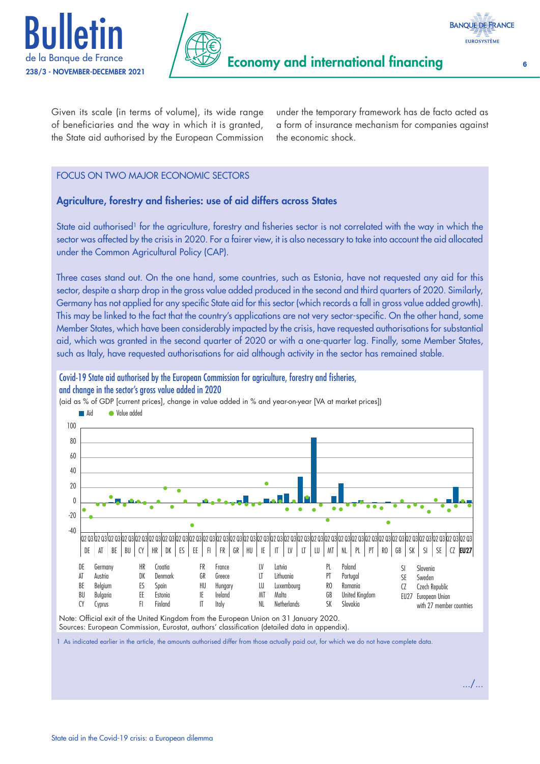





Given its scale (in terms of volume), its wide range of beneficiaries and the way in which it is granted, the State aid authorised by the European Commission

under the temporary framework has de facto acted as a form of insurance mechanism for companies against the economic shock.

### FOCUS ON TWO MAJOR ECONOMIC SECTORS

### Agriculture, forestry and fisheries: use of aid differs across States

State aid authorised<sup>1</sup> for the agriculture, forestry and fisheries sector is not correlated with the way in which the sector was affected by the crisis in 2020. For a fairer view, it is also necessary to take into account the aid allocated under the Common Agricultural Policy (CAP).

Three cases stand out. On the one hand, some countries, such as Estonia, have not requested any aid for this sector, despite a sharp drop in the gross value added produced in the second and third quarters of 2020. Similarly, Germany has not applied for any specific State aid for this sector (which records a fall in gross value added growth). This may be linked to the fact that the country's applications are not very sector-specific. On the other hand, some Member States, which have been considerably impacted by the crisis, have requested authorisations for substantial aid, which was granted in the second quarter of 2020 or with a one‑quarter lag. Finally, some Member States, such as Italy, have requested authorisations for aid although activity in the sector has remained stable.

Covid‑19 State aid authorised by the European Commission for agriculture, forestry and fisheries, and change in the sector's gross value added in 2020



(aid as % of GDP [current prices], change in value added in % and year-on-year [VA at market prices])

Note: Official exit of the United Kingdom from the European Union on 31 January 2020. Sources: European Commission, Eurostat, authors' classification (detailed data in appendix).

1 As indicated earlier in the article, the amounts authorised differ from those actually paid out, for which we do not have complete data.

.../...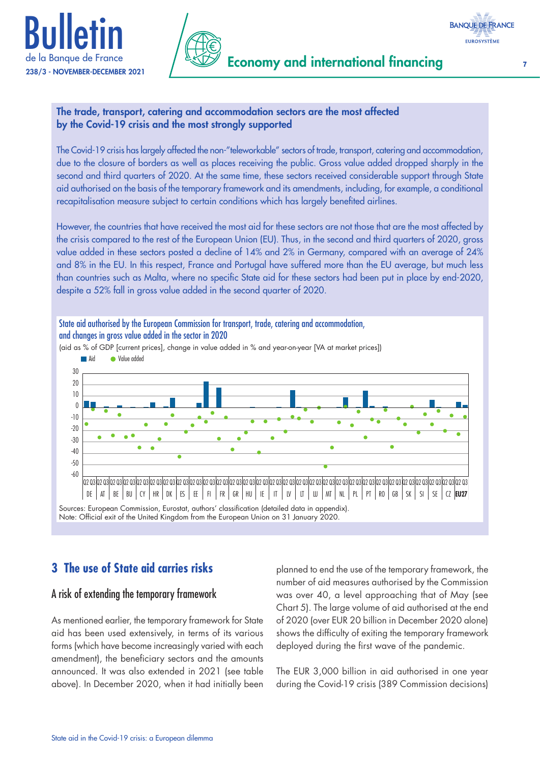



# The trade, transport, catering and accommodation sectors are the most affected

### by the Covid‑19 crisis and the most strongly supported

The Covid-19 crisis has largely affected the non-"teleworkable" sectors of trade, transport, catering and accommodation, due to the closure of borders as well as places receiving the public. Gross value added dropped sharply in the second and third quarters of 2020. At the same time, these sectors received considerable support through State aid authorised on the basis of the temporary framework and its amendments, including, for example, a conditional recapitalisation measure subject to certain conditions which has largely benefited airlines.

However, the countries that have received the most aid for these sectors are not those that are the most affected by the crisis compared to the rest of the European Union (EU). Thus, in the second and third quarters of 2020, gross value added in these sectors posted a decline of 14% and 2% in Germany, compared with an average of 24% and 8% in the EU. In this respect, France and Portugal have suffered more than the EU average, but much less than countries such as Malta, where no specific State aid for these sectors had been put in place by end‑2020, despite a 52% fall in gross value added in the second quarter of 2020.



### **3 The use of State aid carries risks**

### A risk of extending the temporary framework

As mentioned earlier, the temporary framework for State aid has been used extensively, in terms of its various forms (which have become increasingly varied with each amendment), the beneficiary sectors and the amounts announced. It was also extended in 2021 (see table above). In December 2020, when it had initially been

planned to end the use of the temporary framework, the number of aid measures authorised by the Commission was over 40, a level approaching that of May (see Chart 5). The large volume of aid authorised at the end of 2020 (over EUR 20 billion in December 2020 alone) shows the difficulty of exiting the temporary framework deployed during the first wave of the pandemic.

The EUR 3,000 billion in aid authorised in one year during the Covid-19 crisis (389 Commission decisions)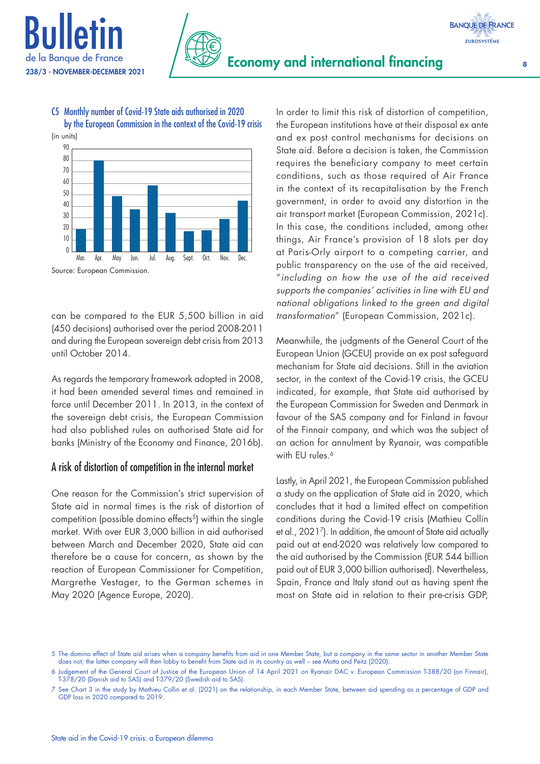



### C5 Monthly number of Covid‑19 State aids authorised in 2020 by the European Commission in the context of the Covid-19 crisis

Source: European Commission.

can be compared to the EUR 5,500 billion in aid (450 decisions) authorised over the period 2008-2011 and during the European sovereign debt crisis from 2013 until October 2014.

As regards the temporary framework adopted in 2008, it had been amended several times and remained in force until December 2011. In 2013, in the context of the sovereign debt crisis, the European Commission had also published rules on authorised State aid for banks (Ministry of the Economy and Finance, 2016b).

### A risk of distortion of competition in the internal market

One reason for the Commission's strict supervision of State aid in normal times is the risk of distortion of competition (possible domino effects<sup>5</sup>) within the single market. With over EUR 3,000 billion in aid authorised between March and December 2020, State aid can therefore be a cause for concern, as shown by the reaction of European Commissioner for Competition, Margrethe Vestager, to the German schemes in May 2020 (Agence Europe, 2020).

In order to limit this risk of distortion of competition, the European institutions have at their disposal ex ante and ex post control mechanisms for decisions on State aid. Before a decision is taken, the Commission requires the beneficiary company to meet certain conditions, such as those required of Air France in the context of its recapitalisation by the French government, in order to avoid any distortion in the air transport market (European Commission, 2021c). In this case, the conditions included, among other things, Air France's provision of 18 slots per day at Paris-Orly airport to a competing carrier, and public transparency on the use of the aid received, "*including on how the use of the aid received supports the companies' activities in line with EU and national obligations linked to the green and digital transformation*" (European Commission, 2021c).

Meanwhile, the judgments of the General Court of the European Union (GCEU) provide an ex post safeguard mechanism for State aid decisions. Still in the aviation sector, in the context of the Covid-19 crisis, the GCEU indicated, for example, that State aid authorised by the European Commission for Sweden and Denmark in favour of the SAS company and for Finland in favour of the Finnair company, and which was the subject of an action for annulment by Ryanair, was compatible with EU rules.<sup>6</sup>

Lastly, in April 2021, the European Commission published a study on the application of State aid in 2020, which concludes that it had a limited effect on competition conditions during the Covid-19 crisis (Mathieu Collin et al., 20217). In addition, the amount of State aid actually paid out at end-2020 was relatively low compared to the aid authorised by the Commission (EUR 544 billion paid out of EUR 3,000 billion authorised). Nevertheless, Spain, France and Italy stand out as having spent the most on State aid in relation to their pre-crisis GDP,

**BANQUE DE FRANCE** 

<sup>5</sup> The domino effect of State aid arises when a company benefits from aid in one Member State, but a company in the same sector in another Member State does not; the latter company will then lobby to benefit from State aid in its country as well – see Motta and Peitz (2020).

<sup>6</sup> Judgement of the General Court of Justice of the European Union of 14 April 2021 on Ryanair DAC v. European Commission [T-388/20](https://curia.europa.eu/juris/document/document.jsf?text=&docid=239866&pageIndex=0&doclang=FR&mode=lst&dir=&occ=first&part=1&cid=2572973) (on Finnair), [T-378/20](https://curia.europa.eu/juris/document/document.jsf?text=&docid=239864&pageIndex=0&doclang=fr&mode=lst&dir=&occ=first&part=1&cid=9623485) (Danish aid to SAS) and [T-379/20](https://curia.europa.eu/juris/document/document.jsf?text=&docid=239863&pageIndex=0&doclang=fr&mode=lst&dir=&occ=first&part=1&cid=4010191) (Swedish aid to SAS).

<sup>7</sup> See Chart 3 in the study by Mathieu Collin et al. (2021) on the relationship, in each Member State, between aid spending as a percentage of GDP and GDP loss in 2020 compared to 2019.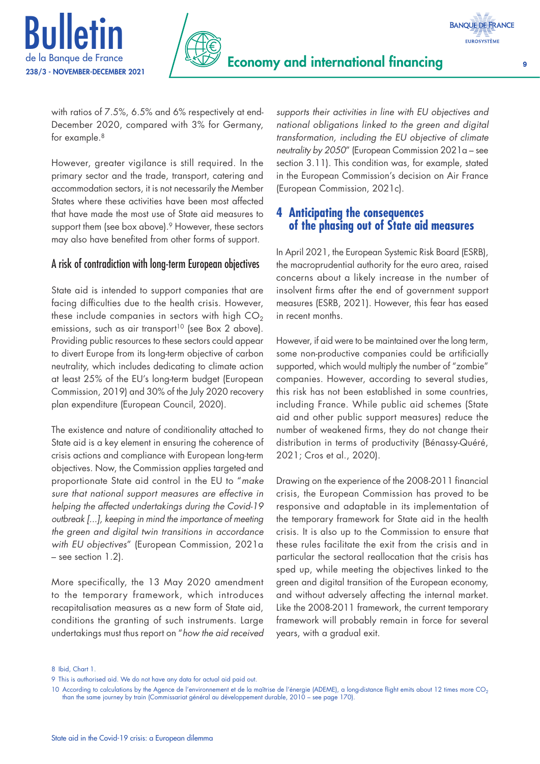



with ratios of 7.5%, 6.5% and 6% respectively at end-December 2020, compared with 3% for Germany, for example.<sup>8</sup>

However, greater vigilance is still required. In the primary sector and the trade, transport, catering and accommodation sectors, it is not necessarily the Member States where these activities have been most affected that have made the most use of State aid measures to support them (see box above).<sup>9</sup> However, these sectors may also have benefited from other forms of support.

### A risk of contradiction with long‑term European objectives

State aid is intended to support companies that are facing difficulties due to the health crisis. However, these include companies in sectors with high  $CO<sub>2</sub>$ emissions, such as air transport<sup>10</sup> (see Box 2 above). Providing public resources to these sectors could appear to divert Europe from its long-term objective of carbon neutrality, which includes dedicating to climate action at least 25% of the EU's long-term budget (European Commission, 2019) and 30% of the July 2020 recovery plan expenditure (European Council, 2020).

The existence and nature of conditionality attached to State aid is a key element in ensuring the coherence of crisis actions and compliance with European long-term objectives. Now, the Commission applies targeted and proportionate State aid control in the EU to "*make sure that national support measures are effective in helping the affected undertakings during the Covid‑19 outbreak [...], keeping in mind the importance of meeting the green and digital twin transitions in accordance with EU objectives*" (European Commission, 2021a – see section 1.2).

More specifically, the 13 May 2020 amendment to the temporary framework, which introduces recapitalisation measures as a new form of State aid, conditions the granting of such instruments. Large undertakings must thus report on "*how the aid received*  *supports their activities in line with EU objectives and national obligations linked to the green and digital transformation, including the EU objective of climate neutrality by 2050*" (European Commission 2021a – see section 3.11). This condition was, for example, stated in the European Commission's decision on Air France (European Commission, 2021c).

### **4 Anticipating the consequences of the phasing out of State aid measures**

In April 2021, the European Systemic Risk Board (ESRB), the macroprudential authority for the euro area, raised concerns about a likely increase in the number of insolvent firms after the end of government support measures (ESRB, 2021). However, this fear has eased in recent months.

However, if aid were to be maintained over the long term, some non-productive companies could be artificially supported, which would multiply the number of "zombie" companies. However, according to several studies, this risk has not been established in some countries, including France. While public aid schemes (State aid and other public support measures) reduce the number of weakened firms, they do not change their distribution in terms of productivity (Bénassy-Quéré, 2021; Cros et al., 2020).

Drawing on the experience of the 2008-2011 financial crisis, the European Commission has proved to be responsive and adaptable in its implementation of the temporary framework for State aid in the health crisis. It is also up to the Commission to ensure that these rules facilitate the exit from the crisis and in particular the sectoral reallocation that the crisis has sped up, while meeting the objectives linked to the green and digital transition of the European economy, and without adversely affecting the internal market. Like the 2008-2011 framework, the current temporary framework will probably remain in force for several years, with a gradual exit.

8 Ibid, Chart 1.

<sup>9</sup> This is authorised aid. We do not have any data for actual aid paid out.

<sup>10</sup> According to calculations by the Agence de l'environnement et de la maîtrise de l'énergie (ADEME), a long-distance flight emits about 12 times more CO<sub>2</sub> than the same journey by train (Commissariat général au développement durable, 2010 – see page 170).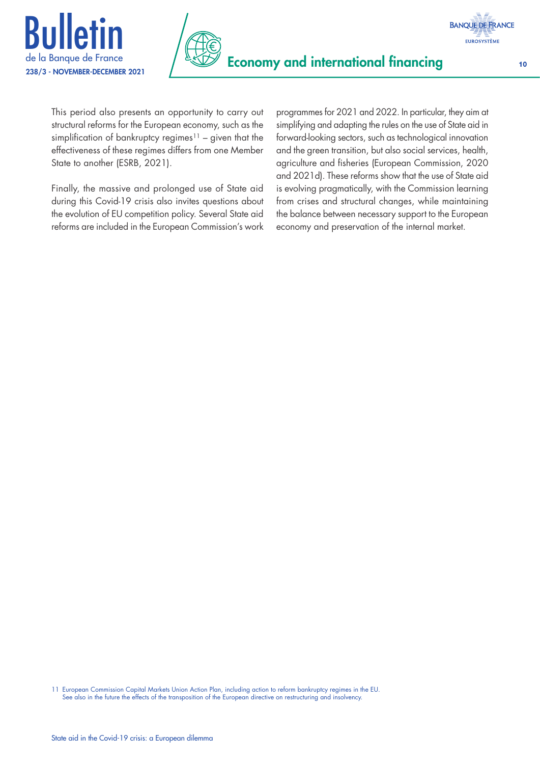



**BANQUE DE FRANCE EUROSYSTÈME** 

This period also presents an opportunity to carry out structural reforms for the European economy, such as the simplification of bankruptcy regimes<sup>11</sup> – given that the effectiveness of these regimes differs from one Member State to another (ESRB, 2021).

Finally, the massive and prolonged use of State aid during this Covid-19 crisis also invites questions about the evolution of EU competition policy. Several State aid reforms are included in the European Commission's work

programmes for 2021 and 2022. In particular, they aim at simplifying and adapting the rules on the use of State aid in forward-looking sectors, such as technological innovation and the green transition, but also social services, health, agriculture and fisheries (European Commission, 2020 and 2021d). These reforms show that the use of State aid is evolving pragmatically, with the Commission learning from crises and structural changes, while maintaining the balance between necessary support to the European economy and preservation of the internal market.

11 European Commission Capital Markets Union Action Plan, including action to reform bankruptcy regimes in the EU. See also in the future the effects of the transposition of the European directive on restructuring and insolvency.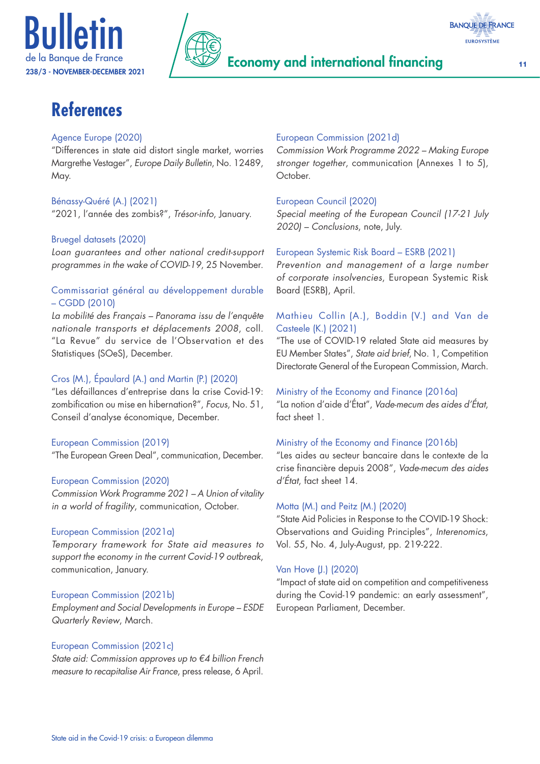



### Economy and international financing the 11



# **References**

### Agence Europe (2020)

"Differences in state aid distort single market, worries Margrethe Vestager", *Europe Daily Bulletin*, No. 12489, May.

### Bénassy-Quéré (A.) (2021)

"2021, l'année des zombis?", *Trésor‑info*, January.

### Bruegel datasets (2020)

*Loan guarantees and other national credit‑support programmes in the wake of COVID‑19*, 25 November.

### Commissariat général au développement durable – CGDD (2010)

*La mobilité des Français – Panorama issu de l'enquête nationale transports et déplacements 2008*, coll. "La Revue" du service de l'Observation et des Statistiques (SOeS), December.

### Cros (M.), Épaulard (A.) and Martin (P.) (2020)

"Les défaillances d'entreprise dans la crise Covid-19: zombification ou mise en hibernation?", *Focus*, No. 51, Conseil d'analyse économique, December.

### European Commission (2019)

"The European Green Deal", communication, December.

### European Commission (2020)

*Commission Work Programme 2021 – A Union of vitality in a world of fragility*, communication, October.

### European Commission (2021a)

*Temporary framework for State aid measures to support the economy in the current Covid‑19 outbreak*, communication, January.

### European Commission (2021b)

*Employment and Social Developments in Europe – ESDE Quarterly Review*, March.

### European Commission (2021c)

*State aid: Commission approves up to €4 billion French measure to recapitalise Air France*, press release, 6 April.

### European Commission (2021d)

*Commission Work Programme 2022 – Making Europe stronger together*, communication (Annexes 1 to 5), October.

### European Council (2020)

*Special meeting of the European Council (17-21 July 2020) – Conclusions*, note, July.

### European Systemic Risk Board – ESRB (2021)

*Prevention and management of a large number of corporate insolvencies*, European Systemic Risk Board (ESRB), April.

### Mathieu Collin (A.), Boddin (V.) and Van de Casteele (K.) (2021)

"The use of COVID-19 related State aid measures by EU Member States", *State aid brief*, No. 1, Competition Directorate General of the European Commission, March.

### Ministry of the Economy and Finance (2016a)

"La notion d'aide d'État", *Vade‑mecum des aides d'État*, fact sheet 1.

### Ministry of the Economy and Finance (2016b)

"Les aides au secteur bancaire dans le contexte de la crise financière depuis 2008", *Vade‑mecum des aides d'État*, fact sheet 14.

### Motta (M.) and Peitz (M.) (2020)

"State Aid Policies in Response to the COVID-19 Shock: Observations and Guiding Principles", *Interenomics*, Vol. 55, No. 4, July-August, pp. 219-222.

### Van Hove (J.) (2020)

"Impact of state aid on competition and competitiveness during the Covid-19 pandemic: an early assessment", European Parliament, December.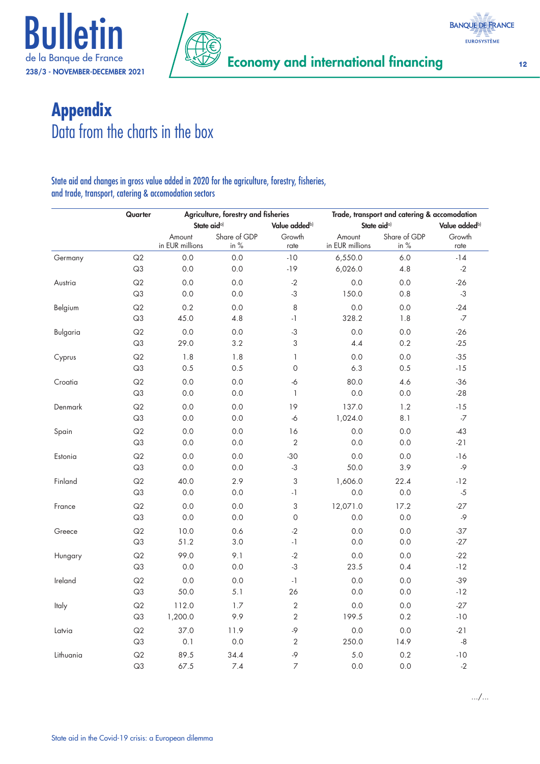





# **Appendix** Data from the charts in the box

### State aid and changes in gross value added in 2020 for the agriculture, forestry, fisheries, and trade, transport, catering & accomodation sectors

|           | Quarter        |                           | Agriculture, forestry and fisheries      |                         |                           | Trade, transport and catering & accomodation |                |
|-----------|----------------|---------------------------|------------------------------------------|-------------------------|---------------------------|----------------------------------------------|----------------|
|           |                |                           | State aid <sup>a)</sup><br>Value addedb) | State aid <sup>a)</sup> |                           | Value added <sup>b)</sup>                    |                |
|           |                | Amount<br>in EUR millions | Share of GDP<br>in $%$                   | Growth<br>rate          | Amount<br>in EUR millions | Share of GDP<br>in %                         | Growth<br>rate |
| Germany   | Q2             | 0.0                       | 0.0                                      | $-10$                   | 6,550.0                   | 6.0                                          | $-14$          |
|           | Q3             | 0.0                       | 0.0                                      | $-19$                   | 6,026.0                   | 4.8                                          | $-2$           |
| Austria   | Q2             | 0.0                       | 0.0                                      | $-2$                    | 0.0                       | 0.0                                          | $-26$          |
|           | Q3             | $0.0\,$                   | 0.0                                      | $-3$                    | 150.0                     | 0.8                                          | $-3$           |
| Belgium   | Q2             | 0.2                       | 0.0                                      | 8                       | 0.0                       | 0.0                                          | $-24$          |
|           | Q3             | 45.0                      | 4.8                                      | $-1$                    | 328.2                     | 1.8                                          | -7             |
| Bulgaria  | Q2             | 0.0                       | 0.0                                      | $-3$                    | 0.0                       | 0.0                                          | $-26$          |
|           | Q <sub>3</sub> | 29.0                      | 3.2                                      | 3                       | 4.4                       | 0.2                                          | $-25$          |
| Cyprus    | Q2             | 1.8                       | 1.8                                      | 1                       | 0.0                       | 0.0                                          | $-35$          |
|           | Q3             | 0.5                       | 0.5                                      | $\mathbf 0$             | 6.3                       | 0.5                                          | $-15$          |
| Croatia   | Q2             | 0.0                       | 0.0                                      | -6                      | 80.0                      | 4.6                                          | $-36$          |
|           | Q3             | 0.0                       | 0.0                                      | 1                       | 0.0                       | 0.0                                          | $-28$          |
| Denmark   | Q2             | 0.0                       | 0.0                                      | 19                      | 137.0                     | 1.2                                          | $-15$          |
|           | Q3             | 0.0                       | 0.0                                      | $-6$                    | 1,024.0                   | 8.1                                          | $\sim$         |
| Spain     | Q2             | 0.0                       | 0.0                                      | 16                      | 0.0                       | 0.0                                          | $-43$          |
|           | Q3             | 0.0                       | 0.0                                      | $\overline{2}$          | 0.0                       | 0.0                                          | $-21$          |
| Estonia   | Q2             | 0.0                       | 0.0                                      | $-30$                   | 0.0                       | 0.0                                          | $-16$          |
|           | Q3             | 0.0                       | 0.0                                      | $-3$                    | 50.0                      | 3.9                                          | $-9$           |
| Finland   | Q2             | 40.0                      | 2.9                                      | 3                       | 1,606.0                   | 22.4                                         | $-12$          |
|           | Q3             | 0.0                       | 0.0                                      | $-1$                    | 0.0                       | 0.0                                          | $-5$           |
| France    | Q2             | 0.0                       | 0.0                                      | 3                       | 12,071.0                  | 17.2                                         | $-27$          |
|           | Q3             | 0.0                       | 0.0                                      | 0                       | 0.0                       | 0.0                                          | -9             |
| Greece    | Q2             | 10.0                      | 0.6                                      | $-2$                    | 0.0                       | 0.0                                          | $-37$          |
|           | Q3             | 51.2                      | 3.0                                      | $-1$                    | 0.0                       | 0.0                                          | $-27$          |
| Hungary   | Q2             | 99.0                      | 9.1                                      | $-2$                    | 0.0                       | 0.0                                          | $-22$          |
|           | Q3             | 0.0                       | 0.0                                      | $-3$                    | 23.5                      | 0.4                                          | $-12$          |
| Ireland   | Q2             | 0.0                       | 0.0                                      | $-1$                    | 0.0                       | 0.0                                          | $-39$          |
|           | Q3             | 50.0                      | 5.1                                      | 26                      | 0.0                       | 0.0                                          | $-12$          |
| Italy     | Q2             | 112.0                     | 1.7                                      | 2                       | 0.0                       | 0.0                                          | $-27$          |
|           | Q3             | 1,200.0                   | 9.9                                      | 2                       | 199.5                     | 0.2                                          | $-10$          |
| Latvia    | Q2             | 37.0                      | 11.9                                     | $-9$                    | 0.0                       | 0.0                                          | $-21$          |
|           | Q3             | 0.1                       | 0.0                                      | 2                       | 250.0                     | 14.9                                         | $-8$           |
| Lithuania | Q2             | 89.5                      | 34.4                                     | $-9$                    | 5.0                       | 0.2                                          | $-10$          |
|           | Q3             | 67.5                      | 7.4                                      | $\overline{7}$          | 0.0                       | 0.0                                          | $-2$           |